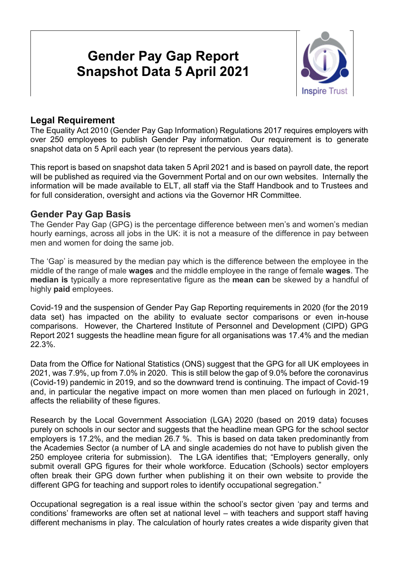# **Gender Pay Gap Report Snapshot Data 5 April 2021**



## **Legal Requirement**

The Equality Act 2010 (Gender Pay Gap Information) Regulations 2017 requires employers with over 250 employees to publish Gender Pay information. Our requirement is to generate snapshot data on 5 April each year (to represent the pervious years data).

This report is based on snapshot data taken 5 April 2021 and is based on payroll date, the report will be published as required via the Government Portal and on our own websites. Internally the information will be made available to ELT, all staff via the Staff Handbook and to Trustees and for full consideration, oversight and actions via the Governor HR Committee.

#### **Gender Pay Gap Basis**

The Gender Pay Gap (GPG) is the percentage difference between men's and women's median hourly earnings, across all jobs in the UK: it is not a measure of the difference in pay between men and women for doing the same job.

The 'Gap' is measured by the median pay which is the difference between the employee in the middle of the range of male **wages** and the middle employee in the range of female **wages**. The **median is** typically a more representative figure as the **mean can** be skewed by a handful of highly **paid** employees.

Covid-19 and the suspension of Gender Pay Gap Reporting requirements in 2020 (for the 2019 data set) has impacted on the ability to evaluate sector comparisons or even in-house comparisons. However, the Chartered Institute of Personnel and Development (CIPD) GPG Report 2021 suggests the headline mean figure for all organisations was 17.4% and the median 22.3%.

Data from the Office for National Statistics (ONS) suggest that the GPG for all UK employees in 2021, was 7.9%, up from 7.0% in 2020. This is still below the gap of 9.0% before the coronavirus (Covid-19) pandemic in 2019, and so the downward trend is continuing. The impact of Covid-19 and, in particular the negative impact on more women than men placed on furlough in 2021, affects the reliability of these figures.

Research by the Local Government Association (LGA) 2020 (based on 2019 data) focuses purely on schools in our sector and suggests that the headline mean GPG for the school sector employers is 17.2%, and the median 26.7 %. This is based on data taken predominantly from the Academies Sector (a number of LA and single academies do not have to publish given the 250 employee criteria for submission). The LGA identifies that; "Employers generally, only submit overall GPG figures for their whole workforce. Education (Schools) sector employers often break their GPG down further when publishing it on their own website to provide the different GPG for teaching and support roles to identify occupational segregation."

Occupational segregation is a real issue within the school's sector given 'pay and terms and conditions' frameworks are often set at national level – with teachers and support staff having different mechanisms in play. The calculation of hourly rates creates a wide disparity given that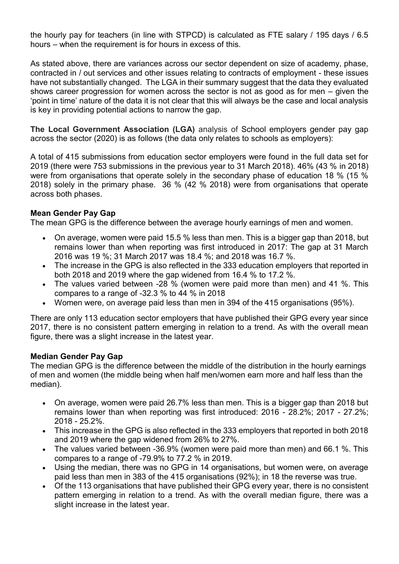the hourly pay for teachers (in line with STPCD) is calculated as FTE salary / 195 days / 6.5 hours – when the requirement is for hours in excess of this.

As stated above, there are variances across our sector dependent on size of academy, phase, contracted in / out services and other issues relating to contracts of employment - these issues have not substantially changed. The LGA in their summary suggest that the data they evaluated shows career progression for women across the sector is not as good as for men – given the 'point in time' nature of the data it is not clear that this will always be the case and local analysis is key in providing potential actions to narrow the gap.

**The Local Government Association (LGA)** analysis of School employers gender pay gap across the sector (2020) is as follows (the data only relates to schools as employers):

A total of 415 submissions from education sector employers were found in the full data set for 2019 (there were 753 submissions in the previous year to 31 March 2018). 46% (43 % in 2018) were from organisations that operate solely in the secondary phase of education 18 % (15 % 2018) solely in the primary phase. 36 % (42 % 2018) were from organisations that operate across both phases.

#### **Mean Gender Pay Gap**

The mean GPG is the difference between the average hourly earnings of men and women.

- On average, women were paid 15.5 % less than men. This is a bigger gap than 2018, but remains lower than when reporting was first introduced in 2017: The gap at 31 March 2016 was 19 %; 31 March 2017 was 18.4 %; and 2018 was 16.7 %.
- The increase in the GPG is also reflected in the 333 education employers that reported in both 2018 and 2019 where the gap widened from 16.4 % to 17.2 %.
- The values varied between -28 % (women were paid more than men) and 41 %. This compares to a range of -32.3 % to 44 % in 2018
- Women were, on average paid less than men in 394 of the 415 organisations (95%).

There are only 113 education sector employers that have published their GPG every year since 2017, there is no consistent pattern emerging in relation to a trend. As with the overall mean figure, there was a slight increase in the latest year.

#### **Median Gender Pay Gap**

The median GPG is the difference between the middle of the distribution in the hourly earnings of men and women (the middle being when half men/women earn more and half less than the median).

- On average, women were paid 26.7% less than men. This is a bigger gap than 2018 but remains lower than when reporting was first introduced: 2016 - 28.2%; 2017 - 27.2%; 2018 - 25.2%.
- This increase in the GPG is also reflected in the 333 employers that reported in both 2018 and 2019 where the gap widened from 26% to 27%.
- The values varied between -36.9% (women were paid more than men) and 66.1 %. This compares to a range of -79.9% to 77.2 % in 2019.
- Using the median, there was no GPG in 14 organisations, but women were, on average paid less than men in 383 of the 415 organisations (92%); in 18 the reverse was true.
- Of the 113 organisations that have published their GPG every year, there is no consistent pattern emerging in relation to a trend. As with the overall median figure, there was a slight increase in the latest year.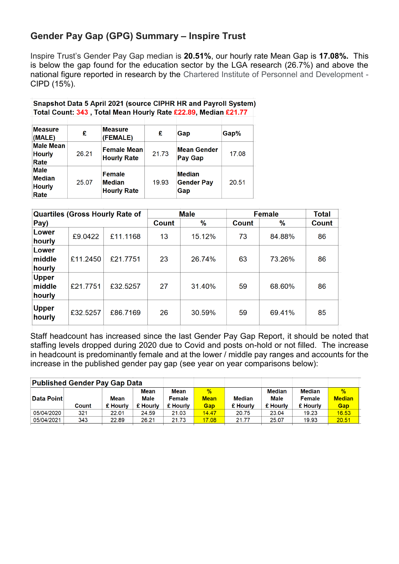## **Gender Pay Gap (GPG) Summary – Inspire Trust**

Inspire Trust's Gender Pay Gap median is **20.51%**, our hourly rate Mean Gap is **17.08%.** This is below the gap found for the education sector by the LGA research (26.7%) and above the national figure reported in research by the Chartered Institute of Personnel and Development - CIPD (15%).

|                                                       |       | Snapshot Data 5 April 2021 (source CIPHR HR and Payroll System)<br>Total Count: 343, Total Mean Hourly Rate £22.89, Median £21.77 |       |                                           |       |
|-------------------------------------------------------|-------|-----------------------------------------------------------------------------------------------------------------------------------|-------|-------------------------------------------|-------|
| <b>Measure</b><br>(MALE)                              | £     | <b>Measure</b><br>(FEMALE)                                                                                                        | £     | Gap                                       | Gap%  |
| <b>Male Mean</b><br><b>Hourly</b><br>Rate             | 26.21 | <b>Female Mean</b><br><b>Hourly Rate</b>                                                                                          | 21.73 | <b>Mean Gender</b><br><b>Pay Gap</b>      | 17.08 |
| <b>Male</b><br><b>Median</b><br><b>Hourly</b><br>Rate | 25.07 | Female<br>Median<br><b>Hourly Rate</b>                                                                                            | 19.93 | <b>Median</b><br><b>Gender Pay</b><br>Gap | 20.51 |

| <b>Quartiles (Gross Hourly Rate of</b> |          |          | <b>Male</b>  | <b>Female</b> | <b>Total</b> |        |       |
|----------------------------------------|----------|----------|--------------|---------------|--------------|--------|-------|
| Pay)                                   |          |          | <b>Count</b> | %             | Count        | $\%$   | Count |
| Lower<br>hourly                        | £9.0422  | £11.1168 | 13           | 15.12%        | 73           | 84.88% | 86    |
| Lower<br>middle<br>hourly              | £11.2450 | £21.7751 | 23           | 26.74%        | 63           | 73.26% | 86    |
| <b>Upper</b><br>middle<br>hourly       | £21.7751 | £32.5257 | 27           | 31.40%        | 59           | 68.60% | 86    |
| <b>Upper</b><br>hourly                 | £32.5257 | £86.7169 | 26           | 30.59%        | 59           | 69.41% | 85    |

Staff headcount has increased since the last Gender Pay Gap Report, it should be noted that staffing levels dropped during 2020 due to Covid and posts on-hold or not filled. The increase in headcount is predominantly female and at the lower / middle pay ranges and accounts for the increase in the published gender pay gap (see year on year comparisons below):

| Published Gender Pay Gap Data |          |             |               |               |               |               |               |               |
|-------------------------------|----------|-------------|---------------|---------------|---------------|---------------|---------------|---------------|
|                               |          | <b>Mean</b> | Mean          | $\frac{9}{6}$ |               | <b>Median</b> | <b>Median</b> | $\frac{9}{6}$ |
| <b>Data Point</b>             | Mean     | <b>Male</b> | <b>Female</b> | <b>Mean</b>   | <b>Median</b> | <b>Male</b>   | <b>Female</b> | <b>Median</b> |
| Count                         | £ Hourly | £ Hourly    | £ Hourly      | Gap           | £ Hourly      | £ Hourly      | £ Hourly      | Gap           |
| 321                           | 22.01    | 24.59       | 21.03         | 14.47         | 20.75         | 23.04         | 19.23         | 16.53         |
| 343                           | 22.89    | 26.21       | 21.73         | 17.08         | 21.77         | 25.07         | 19.93         | 20.51         |
|                               |          |             |               |               |               |               |               |               |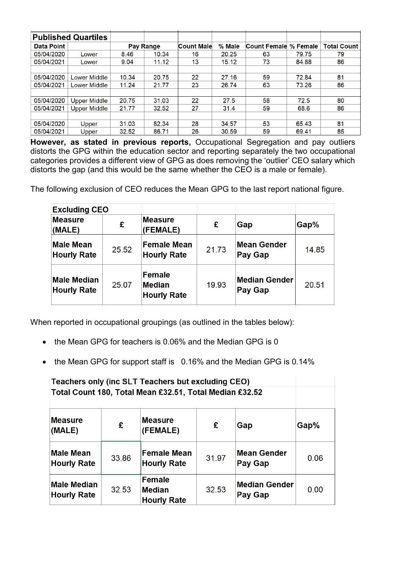| <b>Published Quartiles</b> |                     |           |       |                   |        |                     |          |                    |
|----------------------------|---------------------|-----------|-------|-------------------|--------|---------------------|----------|--------------------|
| Data Point                 |                     | Pay Range |       | <b>Count Male</b> | % Male | <b>Count Female</b> | % Female | <b>Total Count</b> |
| 05/04/2020                 | Lower               | 8.46      | 10.34 | 16                | 20.25  | 63                  | 79.75    | 79                 |
| 05/04/2021                 | Lower               | 9.04      | 11.12 | 13                | 15.12  | 73                  | 84.88    | 86                 |
|                            |                     |           |       |                   |        |                     |          |                    |
| 05/04/2020                 | Lower Middle        | 10.34     | 20.75 | 22                | 27.16  | 59                  | 72.84    | 81                 |
| 05/04/2021                 | Lower Middle        | 11.24     | 21.77 | 23                | 26.74  | 63                  | 73.26    | 86                 |
|                            |                     |           |       |                   |        |                     |          |                    |
| 05/04/2020                 | <b>Upper Middle</b> | 20.75     | 31.03 | 22                | 27.5   | 58                  | 72.5     | 80                 |
| 05/04/2021                 | Upper Middle        | 21.77     | 32.52 | 27                | 31.4   | 59                  | 68.6     | 86                 |
|                            |                     |           |       |                   |        |                     |          |                    |
| 05/04/2020                 | Upper               | 31.03     | 82.34 | 28                | 34.57  | 53                  | 65.43    | 81                 |
| 05/04/2021                 | Upper               | 32.52     | 86.71 | 26                | 30.59  | 59                  | 69.41    | 85                 |

**However, as stated in previous reports,** Occupational Segregation and pay outliers distorts the GPG within the education sector and reporting separately the two occupational categories provides a different view of GPG as does removing the 'outlier' CEO salary which distorts the gap (and this would be the same whether the CEO is a male or female).

The following exclusion of CEO reduces the Mean GPG to the last report national figure.

| <b>Excluding CEO</b>                     |       |                                                      |       |                                        |       |
|------------------------------------------|-------|------------------------------------------------------|-------|----------------------------------------|-------|
| <b>Measure</b><br>(MALE)                 | £     | <b>Measure</b><br>(FEMALE)                           | £     | Gap                                    | Gap%  |
| <b>Male Mean</b><br><b>Hourly Rate</b>   | 25.52 | <b>Female Mean</b><br><b>Hourly Rate</b>             | 21.73 | <b>Mean Gender</b><br><b>Pay Gap</b>   | 14.85 |
| <b>Male Median</b><br><b>Hourly Rate</b> | 25.07 | <b>Female</b><br><b>Median</b><br><b>Hourly Rate</b> | 19.93 | <b>Median Gender</b><br><b>Pay Gap</b> | 20.51 |

When reported in occupational groupings (as outlined in the tables below):

- the Mean GPG for teachers is 0.06% and the Median GPG is 0
- the Mean GPG for support staff is 0.16% and the Median GPG is 0.14%

| Teachers only (inc SLT Teachers but excluding CEO) |       |                                                         |       |                                 |      |  |  |
|----------------------------------------------------|-------|---------------------------------------------------------|-------|---------------------------------|------|--|--|
|                                                    |       | Total Count 180, Total Mean £32.51, Total Median £32.52 |       |                                 |      |  |  |
|                                                    |       |                                                         |       |                                 |      |  |  |
| <b>Measure</b><br>(MALE)                           | £     | <b>Measure</b><br>(FEMALE)                              | £     | Gap                             | Gap% |  |  |
| <b>Male Mean</b><br><b>Hourly Rate</b>             | 33.86 | <b>Female Mean</b><br><b>Hourly Rate</b>                | 31.97 | <b>Mean Gender</b><br>Pay Gap   | 0.06 |  |  |
| <b>Male Median</b><br><b>Hourly Rate</b>           | 32.53 | <b>Female</b><br><b>Median</b><br><b>Hourly Rate</b>    | 32.53 | <b>Median Gender</b><br>Pay Gap | 0.00 |  |  |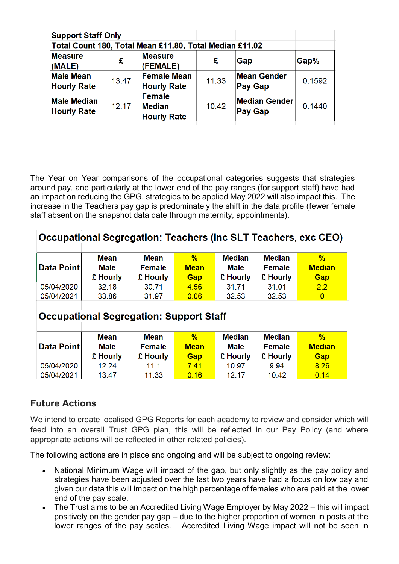| <b>Support Staff Only</b>                               |       |                                               |       |                                        |        |  |  |
|---------------------------------------------------------|-------|-----------------------------------------------|-------|----------------------------------------|--------|--|--|
| Total Count 180, Total Mean £11.80, Total Median £11.02 |       |                                               |       |                                        |        |  |  |
| <b>Measure</b><br>(MALE)                                | £     | <b>Measure</b><br>(FEMALE)                    | £     | Gap                                    | Gap%   |  |  |
| <b>Male Mean</b><br><b>Hourly Rate</b>                  | 13.47 | <b>Female Mean</b><br><b>Hourly Rate</b>      | 11.33 | <b>Mean Gender</b><br><b>Pay Gap</b>   | 0.1592 |  |  |
| <b>Male Median</b><br><b>Hourly Rate</b>                | 12.17 | Female<br><b>Median</b><br><b>Hourly Rate</b> | 10.42 | <b>Median Gender</b><br><b>Pay Gap</b> | 0.1440 |  |  |

The Year on Year comparisons of the occupational categories suggests that strategies around pay, and particularly at the lower end of the pay ranges (for support staff) have had an impact on reducing the GPG, strategies to be applied May 2022 will also impact this. The increase in the Teachers pay gap is predominately the shift in the data profile (fewer female staff absent on the snapshot data date through maternity, appointments).

| Occupational Segregation: Teachers (inc SLT Teachers, exc CEO) |                                                |               |             |               |               |                |  |  |
|----------------------------------------------------------------|------------------------------------------------|---------------|-------------|---------------|---------------|----------------|--|--|
|                                                                |                                                |               |             |               |               |                |  |  |
|                                                                | Mean                                           | <b>Mean</b>   | %           | <b>Median</b> | <b>Median</b> | $\%$           |  |  |
| <b>Data Point</b>                                              | <b>Male</b>                                    | <b>Female</b> | <b>Mean</b> | <b>Male</b>   | <b>Female</b> | <b>Median</b>  |  |  |
|                                                                | £ Hourly                                       | £ Hourly      | Gap         | £ Hourly      | £ Hourly      | Gap            |  |  |
| 05/04/2020                                                     | 32.18                                          | 30.71         | 4.56        | 31.71         | 31.01         | 2.2            |  |  |
| 05/04/2021                                                     | 33.86                                          | 31.97         | 0.06        | 32.53         | 32.53         | $\overline{0}$ |  |  |
|                                                                |                                                |               |             |               |               |                |  |  |
|                                                                | <b>Occupational Segregation: Support Staff</b> |               |             |               |               |                |  |  |
|                                                                |                                                |               |             |               |               |                |  |  |
|                                                                | <b>Mean</b>                                    | <b>Mean</b>   | $\%$        | <b>Median</b> | <b>Median</b> | $\%$           |  |  |
| <b>Data Point</b>                                              | Male                                           | <b>Female</b> | <b>Mean</b> | Male          | <b>Female</b> | <b>Median</b>  |  |  |
|                                                                | £ Hourly                                       | £ Hourly      | Gap         | £ Hourly      | £ Hourly      | Gap            |  |  |
| 05/04/2020                                                     | 12.24                                          | 11.1          | 7.41        | 10.97         | 9.94          | 8.26           |  |  |
| 05/04/2021                                                     | 13.47                                          | 11.33         | 0.16        | 12.17         | 10.42         | 0.14           |  |  |

## **Future Actions**

We intend to create localised GPG Reports for each academy to review and consider which will feed into an overall Trust GPG plan, this will be reflected in our Pay Policy (and where appropriate actions will be reflected in other related policies).

The following actions are in place and ongoing and will be subject to ongoing review:

- National Minimum Wage will impact of the gap, but only slightly as the pay policy and strategies have been adjusted over the last two years have had a focus on low pay and given our data this will impact on the high percentage of females who are paid at the lower end of the pay scale.
- The Trust aims to be an Accredited Living Wage Employer by May 2022 this will impact positively on the gender pay gap – due to the higher proportion of women in posts at the lower ranges of the pay scales. Accredited Living Wage impact will not be seen in